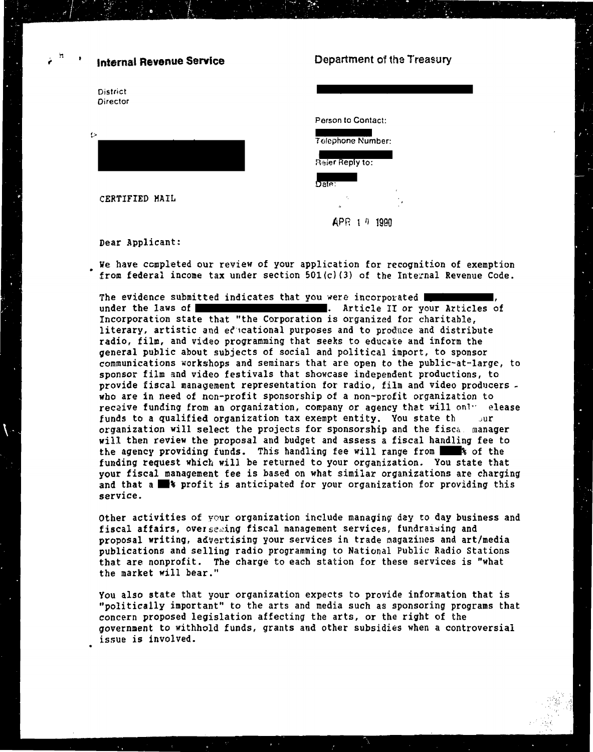## **Internal Revenue Service**

District Director



CERTIFIED MAIL

## Department of the Treasury

Person to Contact:

| Telephone Number: |
|-------------------|
| Raler Reply to:   |
|                   |
| Date:             |
| $\overline{u}$    |

APR 1 0 1990

Dear Applicant:

We have completed our review of your application for recognition of exemption from federal income tax under section  $501(c)(3)$  of the Internal Revenue Code.

The evidence submitted indicates that you were incorporated under the laws of  $\blacksquare$ . Article II or your Articles of Incorporation state that "the Corporation is organized for charitable. literary, artistic and educational purposes and to produce and distribute radio, film, and video programming that seeks to educate and inform the general public about subjects of social and political import, to sponsor communications workshops and seminars that are open to the public-at-large, to sponsor film and video festivals that showcase independent productions, to provide fiscal management representation for radio, film and video producers. who are in need of non-profit sponsorship of a non-profit organization to recaive funding from an organization, company or agency that will only elease funds to a qualified organization tax exempt entity. You state th  $Jur$ organization will select the projects for sponsorship and the fisca. manager will then review the proposal and budget and assess a fiscal handling fee to the agency providing funds. This handling fee will range from 18 of the funding request which will be returned to your organization. You state that vour fiscal management fee is based on what similar organizations are charging and that a **s** profit is anticipated for your organization for providing this service.

Other activities of your organization include managing day to day business and fiscal affairs, over seming fiscal management services, fundraising and proposal writing, advertising your services in trade magazines and art/media publications and selling radio programming to National Public Radio Stations that are nonprofit. The charge to each station for these services is "what the market will bear."

You also state that your organization expects to provide information that is "politically important" to the arts and media such as sponsoring programs that concern proposed legislation affecting the arts, or the right of the government to withhold funds, grants and other subsidies when a controversial issue is involved.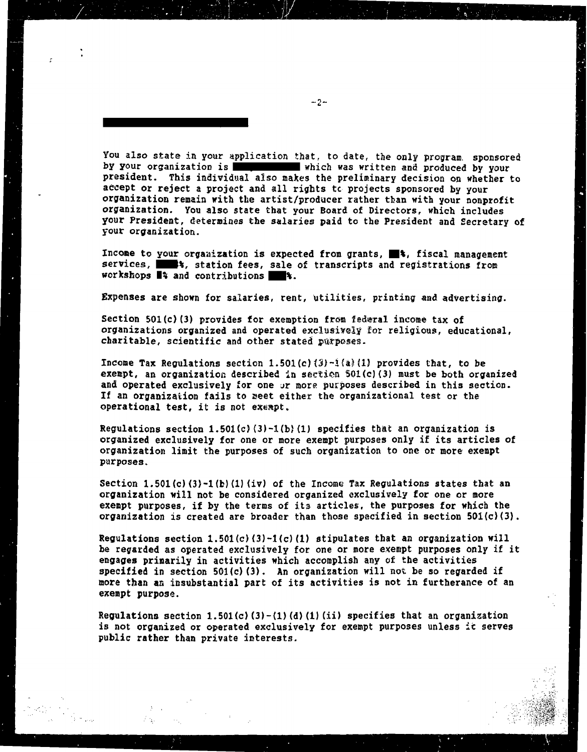You also state in **your** application that, to date, the only program, sponsored by your organization is **which was written and produced by your** president. This individual also makes the preliminary decision **on** whether to accept or reject a project and a11 rights tc projects sponsored by your organization remain with the artist/producer rather **tban** with your nonprofit organization. You also state that your Board of Directors, which includes your President, determines the salaries paid to the President and Secretary **of**  YOUP organization.

Income to your organization is expected from grants,  $\blacksquare$ <sup>\*</sup>, fiscal management services, **\*\*\***  $*$  station fees, sale of transcripts and registrations from workshops  $\blacksquare$  and contributions  $\blacksquare$  %.

Expenses are shown for salaries, rent, utilities, printing and advertising.

Section **501 (c) (3)** provides for exemption **fron** federal incsae **tax** of organizations organized and operated exclusively for religious, educational, charitable, scientific and other stated purposes.

**Income Tax Regulations section**  $1.501(c)$  $(3) - 1$  $(a)$  $(1)$  **provides that, to be** exempt, an organization described in section 501(c)(3) must be both organized and operated exclusively for one or more purposes described in this section. If an organization fails to eeet either the organizational **test** or the operational test, it is not exsspt.

Regulations section 1.501 (c) **(3) -1 (b)** (1) specifies tbat an organization is organized exclusively for one or more exempt purposes only if its articles of **organization** limit the purposes of such organization to one or more exempt purposes.

Section 1.501(c)(3)-1(b)(1)(iv) of the Income Tax Regulations states that an organization will not be considered organized exclusively for one or more exempt purposes, if by the terms of its articles, the purposes for which the organization is created are broader than those specified in section  $501(c)(3)$ .

Regulations section 1.501(c) (3)-l(c) **(1)** stipulates tbat **an** organization will be regarded as operated exclusively for one or more exempt purposes only if it engages primarily in activities which accomplish any of the activities specified in section 501(c) **(3).** An organization will not be so regarded if more than an insubstantial part of its activities is not in furtherance of an exempt purpose.

Regulations section 1.501 **(c) (3)** -(l) **(d)** (1) (ii) specifies that an organization **Is** not organized or operated exclusively for exempt purposes unless **It** serves public rather than private interests.

 $-2-$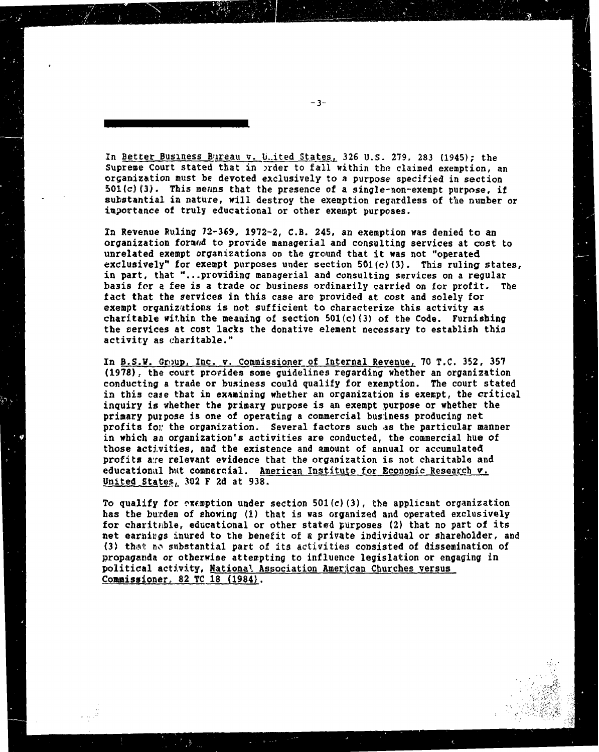In Better Business Bureau v. U.ited States, 326 U.S. 279, 283 (1945); the Supreme Court stated ttat **in** xder to fall within **the claimed** exemption, an organization must be devoted exclusively to a purpose specified in section 501(c)(3). This means that the presence of a single-non-exempt purpose, if substantial **in** nature, wili destroy the exemption regiwdless of the number or importance of truly educational or other exempt purposes.

**fn** Revenue Ruling **73-369,** 1972-2, C.B. 245, an exemption was denied to an organization formed to provide managerial and consulting services at cost to unrelated exempt organizations on the ground that it was not "operated exclusively" for exempt purposes under section **501(c) (3).** This ruling states, in part, that "... providing managerial and consulting services on a regular basis for a fee is a trade or business ordinarily carried **on** for profit. **The**  fact that the services **in** this case are provided at cost and solely for exempt organizutions is not sufficient to characterize this activity **as**  charitable within the messing of section **501(c) (3)** of the Code. Furnishing tbe services at cost lacks the donative element necessary to establish this activity as charitable."

In **B.S.W.** Group, Inc. **v.** Commissioner of Internal Revenue, 70 T.C. 352, 357 **(19781,** the couft **pravides** some guidelines regarding whether an organization conducting a trade or business could qualify for exemption. The court stated in this case that in examining whether an organization is exempt, the critical inquiry is whether the primary purpose is an exempt purpose or whether the primary purpose is one of operating a comercial bus:iness producing **net**  profits for the organization. Several factors such as the particular manner in which an organization's activities are conducted, the commercial hue of those actl.vities, and the existence and **amount** of annual or accumulated profits aye relevant evidence that the organization is not charitable and educational hat commercial. American Institute for Economic Research **v**. United States, 302 F 2d at 938.

To qualify for exemption under section 501(c)(3), the applicant organization has the burden of ehowing (1) that is was organized **aad** operated **exclusively**  for charitable, educational or other stated purposes (2) that no part of its net earnings inured to the benefit of a private individual or shareholder, and **(3) thr~il** no sirbstaatial part of its **activities** consisted of dissemination of **propagaada** or otherwise attenpting to influence legislation or engaging **in**  political activity, National Association American Churches versus **Commissioner, 82 TC 18 (1984).**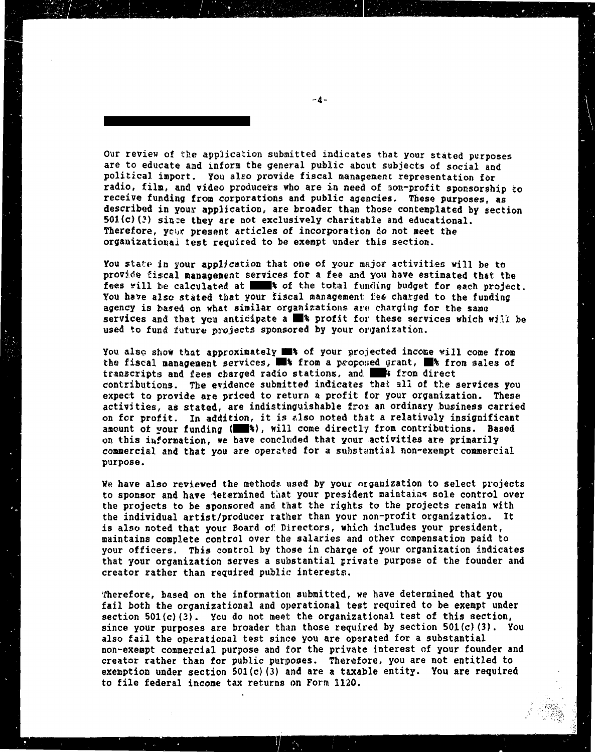Our review of the application submitted indicates that your stated purposes are to educate and inform the general public about subjects of social and political import. You also provide fiscal management representation for radio, film, and video producers who are in need of non-profit sponsorship to receive funding from corporations and public agencies. These purposes, as described in your application, are broader than those contemplated by section  $501(c)(3)$  since they are not exclusively charitable and educational. Therefore, your present articles of incorporation do not meet the organizational test required to be exempt under this section.

You state in your application that one of your major activities will be to provide fiscal management services for a fee and you have estimated that the fees will be calculated at **the test of** the total funding budget for each project. You have also stated that your fiscal management fee charged to the funding agency is based on what similar organizations are charging for the same services and that you anticipate a  $\blacksquare$  profit for these services which will be used to fund future projects sponsored by your cryanization.

You also show that approximately  $\blacksquare$  of your projected income will come from the fiscal management services, **WE's** from a proposed grant, WE's from sales of transcripts and fees charged radio stations, and **the Station State** contributions. The evidence submitted indicates that all of the services you expect to provide are priced to return a profit for your organization. These activities, as stated, are indistinguishable from an ordinary business carried on for profit. In addition, it is also noted that a relatively insignificant amount of your funding (**1948**), will come directly from contributions. Based on this information, we have concluded that your activities are primarily commercial and that you are operated for a substantial non-exempt commercial purpose.

We have also reviewed the methods used by your organization to select projects to sponsor and have determined that your president maintains sole control over the projects to be sponsored and that the rights to the projects remain with the individual artist/producer rather than your non-profit organization. It is also noted that your Board of Directors, which includes your president, maintains complete control over the salaries and other compensation paid to your officers. This control by those in charge of your organization indicates that your organization serves a substantial private purpose of the founder and creator rather than required public interests.

Therefore, based on the information submitted, we have determined that you fail both the organizational and operational test required to be exempt under section 501(c)(3). You do not meet the organizational test of this section, since your purposes are broader than those required by section 501(c)(3). You also fail the operational test since you are operated for a substantial non-exempt commercial purpose and for the private interest of your founder and creator rather than for public purposes. Therefore, you are not entitled to exemption under section  $501(c)$  (3) and are a taxable entity. You are required to file federal income tax returns on Form 1120.